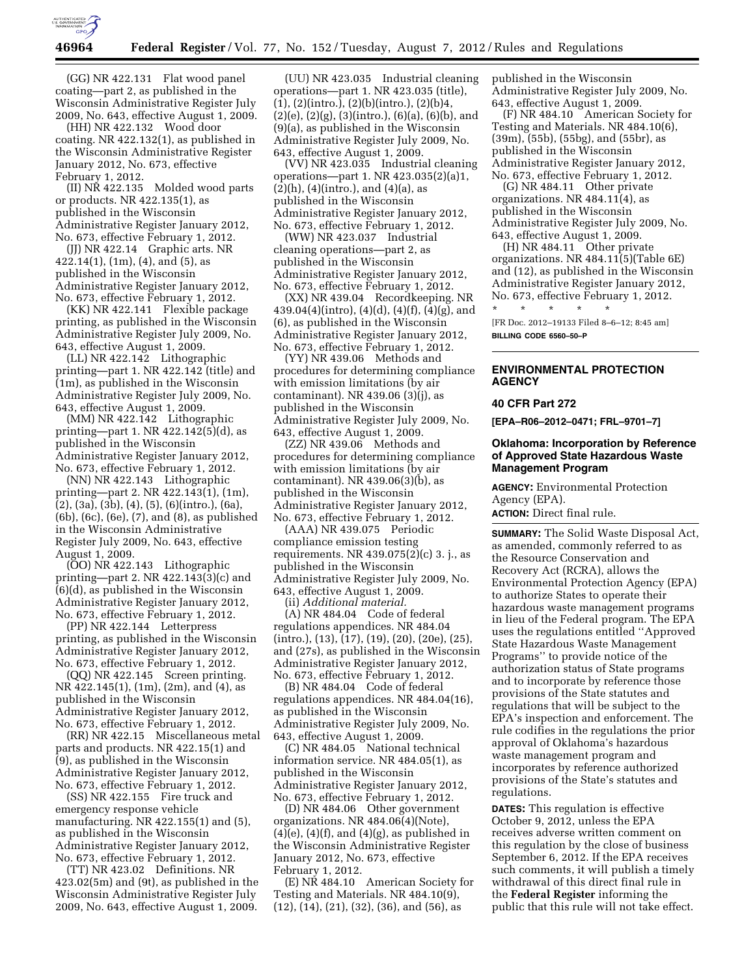

(GG) NR 422.131 Flat wood panel coating—part 2, as published in the Wisconsin Administrative Register July 2009, No. 643, effective August 1, 2009.

(HH) NR 422.132 Wood door coating. NR 422.132(1), as published in the Wisconsin Administrative Register January 2012, No. 673, effective February 1, 2012.

(II) NR 422.135 Molded wood parts or products. NR 422.135(1), as published in the Wisconsin Administrative Register January 2012, No. 673, effective February 1, 2012.

(JJ) NR 422.14 Graphic arts. NR 422.14(1), (1m), (4), and (5), as published in the Wisconsin Administrative Register January 2012, No. 673, effective February 1, 2012.

(KK) NR 422.141 Flexible package printing, as published in the Wisconsin Administrative Register July 2009, No. 643, effective August 1, 2009.

(LL) NR 422.142 Lithographic printing—part 1. NR 422.142 (title) and (1m), as published in the Wisconsin Administrative Register July 2009, No. 643, effective August 1, 2009.

(MM) NR 422.142 Lithographic printing—part 1. NR 422.142(5)(d), as published in the Wisconsin Administrative Register January 2012, No. 673, effective February 1, 2012.

(NN) NR 422.143 Lithographic printing—part 2. NR 422.143(1), (1m), (2), (3a), (3b), (4), (5), (6)(intro.), (6a), (6b), (6c), (6e), (7), and (8), as published in the Wisconsin Administrative Register July 2009, No. 643, effective August 1, 2009.

(OO) NR 422.143 Lithographic printing—part 2. NR 422.143(3)(c) and (6)(d), as published in the Wisconsin Administrative Register January 2012, No. 673, effective February 1, 2012.

(PP) NR 422.144 Letterpress printing, as published in the Wisconsin Administrative Register January 2012, No. 673, effective February 1, 2012.

(QQ) NR 422.145 Screen printing. NR 422.145(1), (1m), (2m), and (4), as published in the Wisconsin Administrative Register January 2012, No. 673, effective February 1, 2012.

(RR) NR 422.15 Miscellaneous metal parts and products. NR 422.15(1) and (9), as published in the Wisconsin Administrative Register January 2012, No. 673, effective February 1, 2012.

(SS) NR 422.155 Fire truck and emergency response vehicle manufacturing. NR 422.155(1) and (5), as published in the Wisconsin Administrative Register January 2012, No. 673, effective February 1, 2012.

(TT) NR 423.02 Definitions. NR 423.02(5m) and (9t), as published in the Wisconsin Administrative Register July 2009, No. 643, effective August 1, 2009.

(UU) NR 423.035 Industrial cleaning operations—part 1. NR 423.035 (title),  $(1), (2)(\text{intro.}), (2)(\text{b})(\text{intro.}), (2)(\text{b})\text{4},$  $(2)(e)$ ,  $(2)(g)$ ,  $(3)(intro.), (6)(a), (6)(b)$ , and (9)(a), as published in the Wisconsin Administrative Register July 2009, No. 643, effective August 1, 2009.

(VV) NR 423.035 Industrial cleaning operations—part 1. NR 423.035(2)(a)1,  $(2)(h)$ ,  $(4)(\text{intro.})$ , and  $(4)(a)$ , as published in the Wisconsin Administrative Register January 2012, No. 673, effective February 1, 2012.

(WW) NR 423.037 Industrial cleaning operations—part 2, as published in the Wisconsin Administrative Register January 2012, No. 673, effective February 1, 2012.

(XX) NR 439.04 Recordkeeping. NR 439.04(4)(intro), (4)(d), (4)(f), (4)(g), and (6), as published in the Wisconsin Administrative Register January 2012, No. 673, effective February 1, 2012.

(YY) NR 439.06 Methods and procedures for determining compliance with emission limitations (by air contaminant). NR 439.06 (3)(j), as published in the Wisconsin Administrative Register July 2009, No. 643, effective August 1, 2009.

(ZZ) NR 439.06 Methods and procedures for determining compliance with emission limitations (by air contaminant). NR 439.06(3)(b), as published in the Wisconsin Administrative Register January 2012, No. 673, effective February 1, 2012.

(AAA) NR 439.075 Periodic compliance emission testing requirements. NR 439.075(2)(c) 3. j., as published in the Wisconsin Administrative Register July 2009, No. 643, effective August 1, 2009. (ii) *Additional material.* 

(A) NR 484.04 Code of federal regulations appendices. NR 484.04 (intro.), (13), (17), (19), (20), (20e), (25), and (27s), as published in the Wisconsin Administrative Register January 2012, No. 673, effective February 1, 2012.

(B) NR 484.04 Code of federal regulations appendices. NR 484.04(16), as published in the Wisconsin Administrative Register July 2009, No. 643, effective August 1, 2009.

(C) NR 484.05 National technical information service. NR 484.05(1), as published in the Wisconsin Administrative Register January 2012, No. 673, effective February 1, 2012.

(D) NR 484.06 Other government organizations. NR 484.06(4)(Note),  $(4)(e)$ ,  $(4)(f)$ , and  $(4)(g)$ , as published in the Wisconsin Administrative Register January 2012, No. 673, effective February 1, 2012.

(E) NR 484.10 American Society for Testing and Materials. NR 484.10(9), (12), (14), (21), (32), (36), and (56), as

published in the Wisconsin Administrative Register July 2009, No. 643, effective August 1, 2009.

(F) NR 484.10 American Society for Testing and Materials. NR 484.10(6), (39m), (55b), (55bg), and (55br), as published in the Wisconsin Administrative Register January 2012, No. 673, effective February 1, 2012.

(G) NR 484.11 Other private organizations. NR  $484.11(4)$ , as published in the Wisconsin Administrative Register July 2009, No. 643, effective August 1, 2009.

(H) NR 484.11 Other private organizations. NR 484.11(5)(Table 6E) and (12), as published in the Wisconsin Administrative Register January 2012, No. 673, effective February 1, 2012.

\* \* \* \* \* [FR Doc. 2012–19133 Filed 8–6–12; 8:45 am] **BILLING CODE 6560–50–P** 

**ENVIRONMENTAL PROTECTION AGENCY** 

#### **40 CFR Part 272**

**[EPA–R06–2012–0471; FRL–9701–7]** 

# **Oklahoma: Incorporation by Reference of Approved State Hazardous Waste Management Program**

**AGENCY:** Environmental Protection Agency (EPA). **ACTION:** Direct final rule.

**SUMMARY:** The Solid Waste Disposal Act, as amended, commonly referred to as the Resource Conservation and Recovery Act (RCRA), allows the Environmental Protection Agency (EPA) to authorize States to operate their hazardous waste management programs in lieu of the Federal program. The EPA uses the regulations entitled ''Approved State Hazardous Waste Management Programs'' to provide notice of the authorization status of State programs and to incorporate by reference those provisions of the State statutes and regulations that will be subject to the EPA's inspection and enforcement. The rule codifies in the regulations the prior approval of Oklahoma's hazardous waste management program and incorporates by reference authorized provisions of the State's statutes and regulations.

**DATES:** This regulation is effective October 9, 2012, unless the EPA receives adverse written comment on this regulation by the close of business September 6, 2012. If the EPA receives such comments, it will publish a timely withdrawal of this direct final rule in the **Federal Register** informing the public that this rule will not take effect.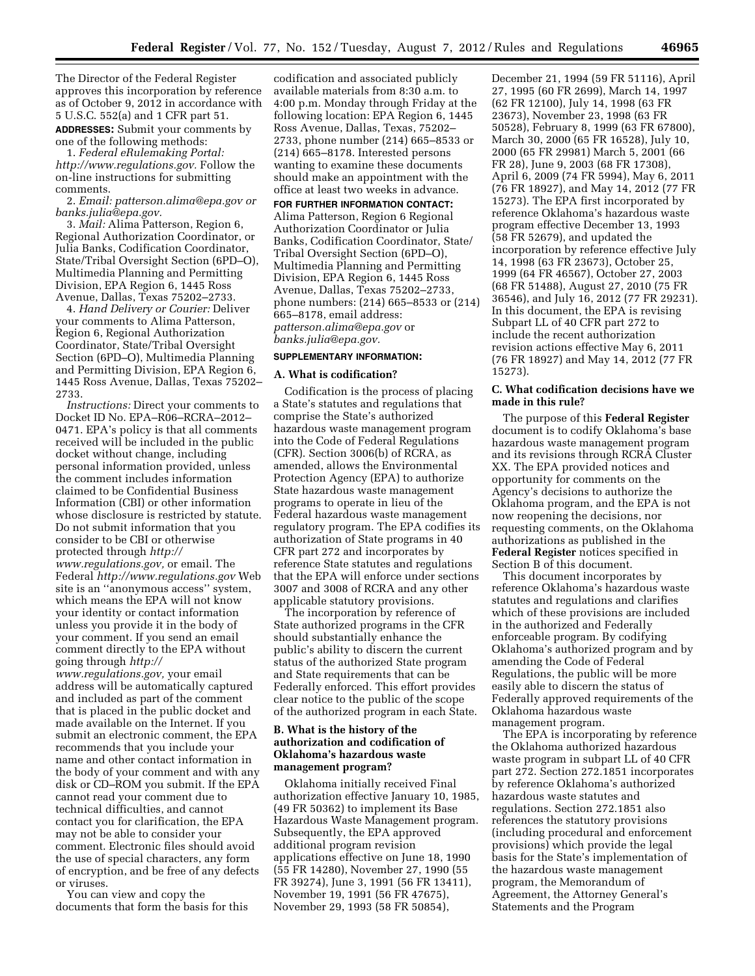The Director of the Federal Register approves this incorporation by reference as of October 9, 2012 in accordance with 5 U.S.C. 552(a) and 1 CFR part 51.

**ADDRESSES:** Submit your comments by one of the following methods:

1. *Federal eRulemaking Portal: [http://www.regulations.gov.](http://www.regulations.gov)* Follow the on-line instructions for submitting comments.

2. *Email: [patterson.alima@epa.gov](mailto:patterson.alima@epa.gov) or [banks.julia@epa.gov.](mailto:banks.julia@epa.gov)* 

3. *Mail:* Alima Patterson, Region 6, Regional Authorization Coordinator, or Julia Banks, Codification Coordinator, State/Tribal Oversight Section (6PD–O), Multimedia Planning and Permitting Division, EPA Region 6, 1445 Ross Avenue, Dallas, Texas 75202–2733.

4. *Hand Delivery or Courier:* Deliver your comments to Alima Patterson, Region 6, Regional Authorization Coordinator, State/Tribal Oversight Section (6PD–O), Multimedia Planning and Permitting Division, EPA Region 6, 1445 Ross Avenue, Dallas, Texas 75202– 2733.

*Instructions:* Direct your comments to Docket ID No. EPA–R06–RCRA–2012– 0471. EPA's policy is that all comments received will be included in the public docket without change, including personal information provided, unless the comment includes information claimed to be Confidential Business Information (CBI) or other information whose disclosure is restricted by statute. Do not submit information that you consider to be CBI or otherwise protected through *[http://](http://www.regulations.gov)  [www.regulations.gov,](http://www.regulations.gov)* or email. The Federal *<http://www.regulations.gov>*Web site is an ''anonymous access'' system, which means the EPA will not know your identity or contact information unless you provide it in the body of your comment. If you send an email comment directly to the EPA without going through *[http://](http://www.regulations.gov)* 

*[www.regulations.gov,](http://www.regulations.gov)* your email address will be automatically captured and included as part of the comment that is placed in the public docket and made available on the Internet. If you submit an electronic comment, the EPA recommends that you include your name and other contact information in the body of your comment and with any disk or CD–ROM you submit. If the EPA cannot read your comment due to technical difficulties, and cannot contact you for clarification, the EPA may not be able to consider your comment. Electronic files should avoid the use of special characters, any form of encryption, and be free of any defects or viruses.

You can view and copy the documents that form the basis for this

codification and associated publicly available materials from 8:30 a.m. to 4:00 p.m. Monday through Friday at the following location: EPA Region 6, 1445 Ross Avenue, Dallas, Texas, 75202– 2733, phone number (214) 665–8533 or (214) 665–8178. Interested persons wanting to examine these documents should make an appointment with the office at least two weeks in advance.

## **FOR FURTHER INFORMATION CONTACT:**

Alima Patterson, Region 6 Regional Authorization Coordinator or Julia Banks, Codification Coordinator, State/ Tribal Oversight Section (6PD–O), Multimedia Planning and Permitting Division, EPA Region 6, 1445 Ross Avenue, Dallas, Texas 75202–2733, phone numbers: (214) 665–8533 or (214) 665–8178, email address: *[patterson.alima@epa.gov](mailto:patterson.alima@epa.gov)* or *[banks.julia@epa.gov.](mailto:banks.julia@epa.gov)* 

# **SUPPLEMENTARY INFORMATION:**

#### **A. What is codification?**

Codification is the process of placing a State's statutes and regulations that comprise the State's authorized hazardous waste management program into the Code of Federal Regulations (CFR). Section 3006(b) of RCRA, as amended, allows the Environmental Protection Agency (EPA) to authorize State hazardous waste management programs to operate in lieu of the Federal hazardous waste management regulatory program. The EPA codifies its authorization of State programs in 40 CFR part 272 and incorporates by reference State statutes and regulations that the EPA will enforce under sections 3007 and 3008 of RCRA and any other applicable statutory provisions.

The incorporation by reference of State authorized programs in the CFR should substantially enhance the public's ability to discern the current status of the authorized State program and State requirements that can be Federally enforced. This effort provides clear notice to the public of the scope of the authorized program in each State.

# **B. What is the history of the authorization and codification of Oklahoma's hazardous waste management program?**

Oklahoma initially received Final authorization effective January 10, 1985, (49 FR 50362) to implement its Base Hazardous Waste Management program. Subsequently, the EPA approved additional program revision applications effective on June 18, 1990 (55 FR 14280), November 27, 1990 (55 FR 39274), June 3, 1991 (56 FR 13411), November 19, 1991 (56 FR 47675), November 29, 1993 (58 FR 50854),

December 21, 1994 (59 FR 51116), April 27, 1995 (60 FR 2699), March 14, 1997 (62 FR 12100), July 14, 1998 (63 FR 23673), November 23, 1998 (63 FR 50528), February 8, 1999 (63 FR 67800), March 30, 2000 (65 FR 16528), July 10, 2000 (65 FR 29981) March 5, 2001 (66 FR 28), June 9, 2003 (68 FR 17308), April 6, 2009 (74 FR 5994), May 6, 2011 (76 FR 18927), and May 14, 2012 (77 FR 15273). The EPA first incorporated by reference Oklahoma's hazardous waste program effective December 13, 1993 (58 FR 52679), and updated the incorporation by reference effective July 14, 1998 (63 FR 23673), October 25, 1999 (64 FR 46567), October 27, 2003 (68 FR 51488), August 27, 2010 (75 FR 36546), and July 16, 2012 (77 FR 29231). In this document, the EPA is revising Subpart LL of 40 CFR part 272 to include the recent authorization revision actions effective May 6, 2011 (76 FR 18927) and May 14, 2012 (77 FR 15273).

## **C. What codification decisions have we made in this rule?**

The purpose of this **Federal Register**  document is to codify Oklahoma's base hazardous waste management program and its revisions through RCRA Cluster XX. The EPA provided notices and opportunity for comments on the Agency's decisions to authorize the Oklahoma program, and the EPA is not now reopening the decisions, nor requesting comments, on the Oklahoma authorizations as published in the **Federal Register** notices specified in Section B of this document.

This document incorporates by reference Oklahoma's hazardous waste statutes and regulations and clarifies which of these provisions are included in the authorized and Federally enforceable program. By codifying Oklahoma's authorized program and by amending the Code of Federal Regulations, the public will be more easily able to discern the status of Federally approved requirements of the Oklahoma hazardous waste management program.

The EPA is incorporating by reference the Oklahoma authorized hazardous waste program in subpart LL of 40 CFR part 272. Section 272.1851 incorporates by reference Oklahoma's authorized hazardous waste statutes and regulations. Section 272.1851 also references the statutory provisions (including procedural and enforcement provisions) which provide the legal basis for the State's implementation of the hazardous waste management program, the Memorandum of Agreement, the Attorney General's Statements and the Program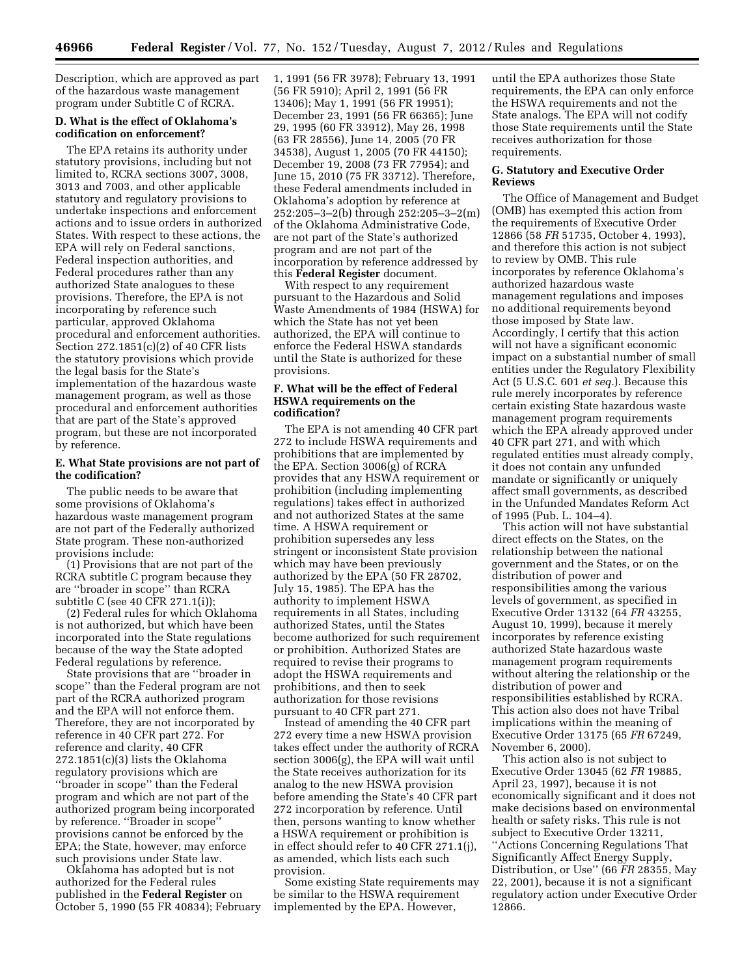Description, which are approved as part of the hazardous waste management program under Subtitle C of RCRA.

# **D. What is the effect of Oklahoma's codification on enforcement?**

The EPA retains its authority under statutory provisions, including but not limited to, RCRA sections 3007, 3008, 3013 and 7003, and other applicable statutory and regulatory provisions to undertake inspections and enforcement actions and to issue orders in authorized States. With respect to these actions, the EPA will rely on Federal sanctions, Federal inspection authorities, and Federal procedures rather than any authorized State analogues to these provisions. Therefore, the EPA is not incorporating by reference such particular, approved Oklahoma procedural and enforcement authorities. Section 272.1851(c)(2) of 40 CFR lists the statutory provisions which provide the legal basis for the State's implementation of the hazardous waste management program, as well as those procedural and enforcement authorities that are part of the State's approved program, but these are not incorporated by reference.

## **E. What State provisions are not part of the codification?**

The public needs to be aware that some provisions of Oklahoma's hazardous waste management program are not part of the Federally authorized State program. These non-authorized provisions include:

(1) Provisions that are not part of the RCRA subtitle C program because they are ''broader in scope'' than RCRA subtitle C (see 40 CFR 271.1(i));

(2) Federal rules for which Oklahoma is not authorized, but which have been incorporated into the State regulations because of the way the State adopted Federal regulations by reference.

State provisions that are ''broader in scope'' than the Federal program are not part of the RCRA authorized program and the EPA will not enforce them. Therefore, they are not incorporated by reference in 40 CFR part 272. For reference and clarity, 40 CFR 272.1851(c)(3) lists the Oklahoma regulatory provisions which are ''broader in scope'' than the Federal program and which are not part of the authorized program being incorporated by reference. ''Broader in scope'' provisions cannot be enforced by the EPA; the State, however, may enforce such provisions under State law.

Oklahoma has adopted but is not authorized for the Federal rules published in the **Federal Register** on October 5, 1990 (55 FR 40834); February 1, 1991 (56 FR 3978); February 13, 1991 (56 FR 5910); April 2, 1991 (56 FR 13406); May 1, 1991 (56 FR 19951); December 23, 1991 (56 FR 66365); June 29, 1995 (60 FR 33912), May 26, 1998 (63 FR 28556), June 14, 2005 (70 FR 34538), August 1, 2005 (70 FR 44150); December 19, 2008 (73 FR 77954); and June 15, 2010 (75 FR 33712). Therefore, these Federal amendments included in Oklahoma's adoption by reference at 252:205–3–2(b) through 252:205–3–2(m) of the Oklahoma Administrative Code, are not part of the State's authorized program and are not part of the incorporation by reference addressed by this **Federal Register** document.

With respect to any requirement pursuant to the Hazardous and Solid Waste Amendments of 1984 (HSWA) for which the State has not yet been authorized, the EPA will continue to enforce the Federal HSWA standards until the State is authorized for these provisions.

#### **F. What will be the effect of Federal HSWA requirements on the codification?**

The EPA is not amending 40 CFR part 272 to include HSWA requirements and prohibitions that are implemented by the EPA. Section 3006(g) of RCRA provides that any HSWA requirement or prohibition (including implementing regulations) takes effect in authorized and not authorized States at the same time. A HSWA requirement or prohibition supersedes any less stringent or inconsistent State provision which may have been previously authorized by the EPA (50 FR 28702, July 15, 1985). The EPA has the authority to implement HSWA requirements in all States, including authorized States, until the States become authorized for such requirement or prohibition. Authorized States are required to revise their programs to adopt the HSWA requirements and prohibitions, and then to seek authorization for those revisions pursuant to 40 CFR part 271.

Instead of amending the 40 CFR part 272 every time a new HSWA provision takes effect under the authority of RCRA section 3006(g), the EPA will wait until the State receives authorization for its analog to the new HSWA provision before amending the State's 40 CFR part 272 incorporation by reference. Until then, persons wanting to know whether a HSWA requirement or prohibition is in effect should refer to 40 CFR 271.1(j), as amended, which lists each such provision.

Some existing State requirements may be similar to the HSWA requirement implemented by the EPA. However,

until the EPA authorizes those State requirements, the EPA can only enforce the HSWA requirements and not the State analogs. The EPA will not codify those State requirements until the State receives authorization for those requirements.

# **G. Statutory and Executive Order Reviews**

The Office of Management and Budget (OMB) has exempted this action from the requirements of Executive Order 12866 (58 *FR* 51735, October 4, 1993), and therefore this action is not subject to review by OMB. This rule incorporates by reference Oklahoma's authorized hazardous waste management regulations and imposes no additional requirements beyond those imposed by State law. Accordingly, I certify that this action will not have a significant economic impact on a substantial number of small entities under the Regulatory Flexibility Act (5 U.S.C. 601 *et seq.*). Because this rule merely incorporates by reference certain existing State hazardous waste management program requirements which the EPA already approved under 40 CFR part 271, and with which regulated entities must already comply, it does not contain any unfunded mandate or significantly or uniquely affect small governments, as described in the Unfunded Mandates Reform Act of 1995 (Pub. L. 104–4).

This action will not have substantial direct effects on the States, on the relationship between the national government and the States, or on the distribution of power and responsibilities among the various levels of government, as specified in Executive Order 13132 (64 *FR* 43255, August 10, 1999), because it merely incorporates by reference existing authorized State hazardous waste management program requirements without altering the relationship or the distribution of power and responsibilities established by RCRA. This action also does not have Tribal implications within the meaning of Executive Order 13175 (65 *FR* 67249, November 6, 2000).

This action also is not subject to Executive Order 13045 (62 *FR* 19885, April 23, 1997), because it is not economically significant and it does not make decisions based on environmental health or safety risks. This rule is not subject to Executive Order 13211, ''Actions Concerning Regulations That Significantly Affect Energy Supply, Distribution, or Use'' (66 *FR* 28355, May 22, 2001), because it is not a significant regulatory action under Executive Order 12866.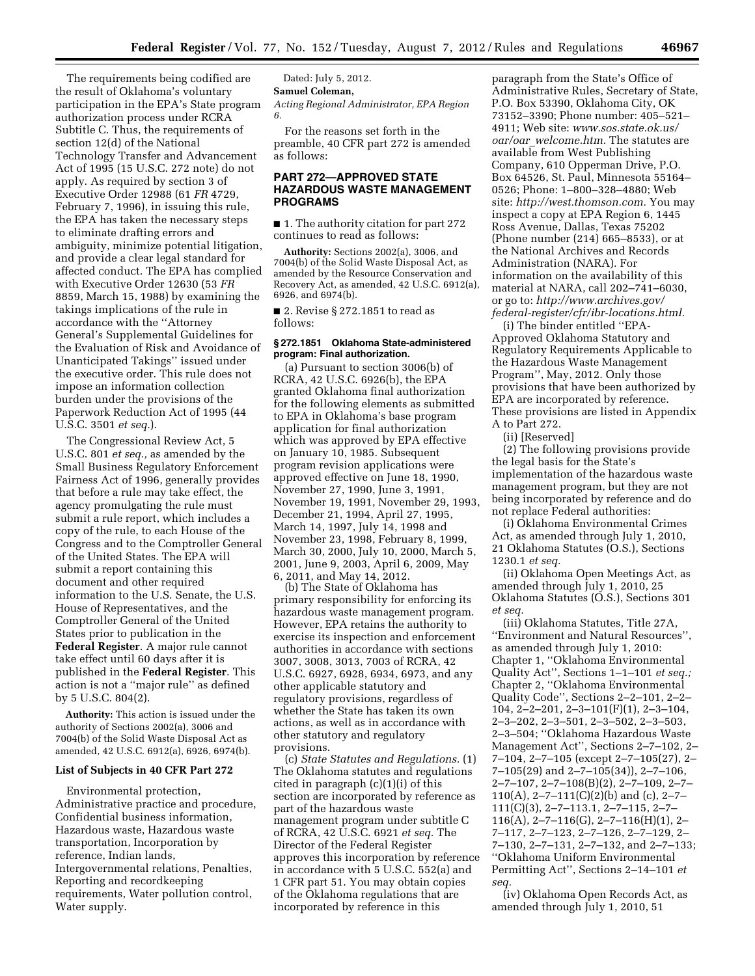The requirements being codified are the result of Oklahoma's voluntary participation in the EPA's State program authorization process under RCRA Subtitle C. Thus, the requirements of section 12(d) of the National Technology Transfer and Advancement Act of 1995 (15 U.S.C. 272 note) do not apply. As required by section 3 of Executive Order 12988 (61 *FR* 4729, February 7, 1996), in issuing this rule, the EPA has taken the necessary steps to eliminate drafting errors and ambiguity, minimize potential litigation, and provide a clear legal standard for affected conduct. The EPA has complied with Executive Order 12630 (53 *FR*  8859, March 15, 1988) by examining the takings implications of the rule in accordance with the ''Attorney General's Supplemental Guidelines for the Evaluation of Risk and Avoidance of Unanticipated Takings'' issued under the executive order. This rule does not impose an information collection burden under the provisions of the Paperwork Reduction Act of 1995 (44 U.S.C. 3501 *et seq.*).

The Congressional Review Act, 5 U.S.C. 801 *et seq.,* as amended by the Small Business Regulatory Enforcement Fairness Act of 1996, generally provides that before a rule may take effect, the agency promulgating the rule must submit a rule report, which includes a copy of the rule, to each House of the Congress and to the Comptroller General of the United States. The EPA will submit a report containing this document and other required information to the U.S. Senate, the U.S. House of Representatives, and the Comptroller General of the United States prior to publication in the **Federal Register**. A major rule cannot take effect until 60 days after it is published in the **Federal Register**. This action is not a ''major rule'' as defined by 5 U.S.C. 804(2).

**Authority:** This action is issued under the authority of Sections 2002(a), 3006 and 7004(b) of the Solid Waste Disposal Act as amended, 42 U.S.C. 6912(a), 6926, 6974(b).

## **List of Subjects in 40 CFR Part 272**

Environmental protection, Administrative practice and procedure, Confidential business information, Hazardous waste, Hazardous waste transportation, Incorporation by reference, Indian lands, Intergovernmental relations, Penalties, Reporting and recordkeeping requirements, Water pollution control, Water supply.

Dated: July 5, 2012. **Samuel Coleman,**  *Acting Regional Administrator, EPA Region 6.* 

For the reasons set forth in the preamble, 40 CFR part 272 is amended as follows:

# **PART 272—APPROVED STATE HAZARDOUS WASTE MANAGEMENT PROGRAMS**

■ 1. The authority citation for part 272 continues to read as follows:

**Authority:** Sections 2002(a), 3006, and 7004(b) of the Solid Waste Disposal Act, as amended by the Resource Conservation and Recovery Act, as amended, 42 U.S.C. 6912(a), 6926, and 6974(b).

■ 2. Revise § 272.1851 to read as follows:

## **§ 272.1851 Oklahoma State-administered program: Final authorization.**

(a) Pursuant to section 3006(b) of RCRA, 42 U.S.C. 6926(b), the EPA granted Oklahoma final authorization for the following elements as submitted to EPA in Oklahoma's base program application for final authorization which was approved by EPA effective on January 10, 1985. Subsequent program revision applications were approved effective on June 18, 1990, November 27, 1990, June 3, 1991, November 19, 1991, November 29, 1993, December 21, 1994, April 27, 1995, March 14, 1997, July 14, 1998 and November 23, 1998, February 8, 1999, March 30, 2000, July 10, 2000, March 5, 2001, June 9, 2003, April 6, 2009, May 6, 2011, and May 14, 2012.

(b) The State of Oklahoma has primary responsibility for enforcing its hazardous waste management program. However, EPA retains the authority to exercise its inspection and enforcement authorities in accordance with sections 3007, 3008, 3013, 7003 of RCRA, 42 U.S.C. 6927, 6928, 6934, 6973, and any other applicable statutory and regulatory provisions, regardless of whether the State has taken its own actions, as well as in accordance with other statutory and regulatory provisions.

(c) *State Statutes and Regulations.* (1) The Oklahoma statutes and regulations cited in paragraph  $(c)(1)(i)$  of this section are incorporated by reference as part of the hazardous waste management program under subtitle C of RCRA, 42 U.S.C. 6921 *et seq.* The Director of the Federal Register approves this incorporation by reference in accordance with 5 U.S.C. 552(a) and 1 CFR part 51. You may obtain copies of the Oklahoma regulations that are incorporated by reference in this

paragraph from the State's Office of Administrative Rules, Secretary of State, P.O. Box 53390, Oklahoma City, OK 73152–3390; Phone number: 405–521– 4911; Web site: *[www.sos.state.ok.us/](http://www.sos.state.ok.us/oar/oar_welcome.htm) oar/oar*\_*[welcome.htm.](http://www.sos.state.ok.us/oar/oar_welcome.htm)* The statutes are available from West Publishing Company, 610 Opperman Drive, P.O. Box 64526, St. Paul, Minnesota 55164– 0526; Phone: 1–800–328–4880; Web site: *[http://west.thomson.com.](http://west.thomson.com)* You may inspect a copy at EPA Region 6, 1445 Ross Avenue, Dallas, Texas 75202 (Phone number (214) 665–8533), or at the National Archives and Records Administration (NARA). For information on the availability of this material at NARA, call 202–741–6030, or go to: *[http://www.archives.gov/](http://www.archives.gov/federal-register/cfr/ibr-locations.html) [federal-register/cfr/ibr-locations.html.](http://www.archives.gov/federal-register/cfr/ibr-locations.html)* 

(i) The binder entitled ''EPA-Approved Oklahoma Statutory and Regulatory Requirements Applicable to the Hazardous Waste Management Program'', May, 2012. Only those provisions that have been authorized by EPA are incorporated by reference. These provisions are listed in Appendix A to Part 272.

(ii) [Reserved]

(2) The following provisions provide the legal basis for the State's implementation of the hazardous waste management program, but they are not being incorporated by reference and do not replace Federal authorities:

(i) Oklahoma Environmental Crimes Act, as amended through July 1, 2010, 21 Oklahoma Statutes (O.S.), Sections 1230.1 *et seq.* 

(ii) Oklahoma Open Meetings Act, as amended through July 1, 2010, 25 Oklahoma Statutes (O.S.), Sections 301 *et seq.* 

(iii) Oklahoma Statutes, Title 27A, ''Environment and Natural Resources'', as amended through July 1, 2010: Chapter 1, ''Oklahoma Environmental Quality Act'', Sections 1–1–101 *et seq.;*  Chapter 2, ''Oklahoma Environmental Quality Code'', Sections 2–2–101, 2–2– 104, 2–2–201, 2–3–101(F)(1), 2–3–104, 2–3–202, 2–3–501, 2–3–502, 2–3–503, 2–3–504; ''Oklahoma Hazardous Waste Management Act'', Sections 2–7–102, 2– 7–104, 2–7–105 (except 2–7–105(27), 2–  $7-105(29)$  and  $2-7-105(34)$ ,  $2-7-106$ , 2–7–107, 2–7–108(B)(2), 2–7–109, 2–7– 110(A), 2-7-111(C)(2)(b) and (c), 2-7-111(C)(3), 2–7–113.1, 2–7–115, 2–7– 116(A), 2–7–116(G), 2–7–116(H)(1), 2– 7–117, 2–7–123, 2–7–126, 2–7–129, 2– 7–130, 2–7–131, 2–7–132, and 2–7–133; ''Oklahoma Uniform Environmental Permitting Act'', Sections 2–14–101 *et seq.* 

(iv) Oklahoma Open Records Act, as amended through July 1, 2010, 51